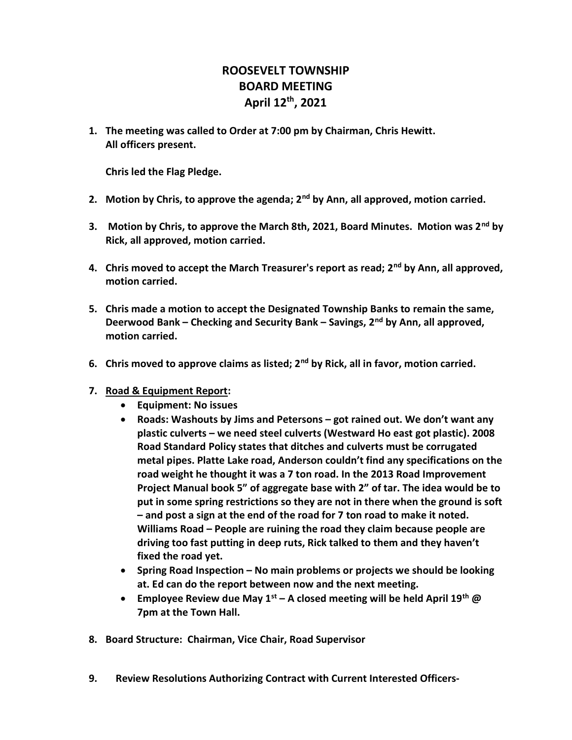## ROOSEVELT TOWNSHIP BOARD MEETING April 12th, 2021

1. The meeting was called to Order at 7:00 pm by Chairman, Chris Hewitt. All officers present.

Chris led the Flag Pledge.

- 2. Motion by Chris, to approve the agenda; 2<sup>nd</sup> by Ann, all approved, motion carried.
- 3. Motion by Chris, to approve the March 8th, 2021, Board Minutes. Motion was 2<sup>nd</sup> by Rick, all approved, motion carried.
- 4. Chris moved to accept the March Treasurer's report as read;  $2^{nd}$  by Ann, all approved, motion carried.
- 5. Chris made a motion to accept the Designated Township Banks to remain the same, Deerwood Bank – Checking and Security Bank – Savings,  $2<sup>nd</sup>$  by Ann, all approved, motion carried.
- 6. Chris moved to approve claims as listed;  $2^{nd}$  by Rick, all in favor, motion carried.
- 7. Road & Equipment Report:
	- Equipment: No issues
	- Roads: Washouts by Jims and Petersons got rained out. We don't want any plastic culverts – we need steel culverts (Westward Ho east got plastic). 2008 Road Standard Policy states that ditches and culverts must be corrugated metal pipes. Platte Lake road, Anderson couldn't find any specifications on the road weight he thought it was a 7 ton road. In the 2013 Road Improvement Project Manual book 5" of aggregate base with 2" of tar. The idea would be to put in some spring restrictions so they are not in there when the ground is soft – and post a sign at the end of the road for 7 ton road to make it noted. Williams Road – People are ruining the road they claim because people are driving too fast putting in deep ruts, Rick talked to them and they haven't fixed the road yet.
	- Spring Road Inspection No main problems or projects we should be looking at. Ed can do the report between now and the next meeting.
	- Employee Review due May  $1^{st}$  A closed meeting will be held April  $19^{th}$  @ 7pm at the Town Hall.
- 8. Board Structure: Chairman, Vice Chair, Road Supervisor
- 9. Review Resolutions Authorizing Contract with Current Interested Officers-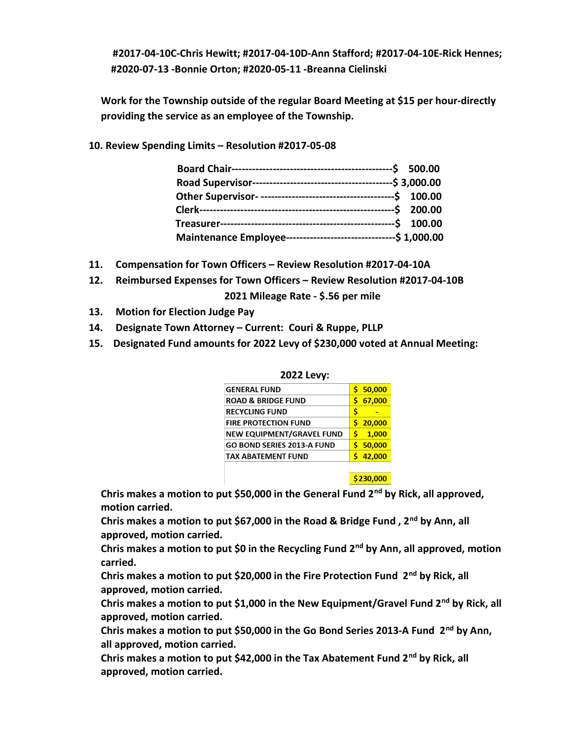#2017-04-10C-Chris Hewitt; #2017-04-10D-Ann Stafford; #2017-04-10E-Rick Hennes; #2020-07-13 -Bonnie Orton; #2020-05-11 -Breanna Cielinski

Work for the Township outside of the regular Board Meeting at \$15 per hour-directly providing the service as an employee of the Township.

10. Review Spending Limits – Resolution #2017-05-08

| Maintenance Employee----------------------------------\$ 1,000.00 |  |
|-------------------------------------------------------------------|--|

- 11. Compensation for Town Officers Review Resolution #2017-04-10A
- 12. Reimbursed Expenses for Town Officers Review Resolution #2017-04-10B 2021 Mileage Rate - \$.56 per mile
- 13. Motion for Election Judge Pay
- 14. Designate Town Attorney Current: Couri & Ruppe, PLLP
- 15. Designated Fund amounts for 2022 Levy of \$230,000 voted at Annual Meeting:

| 2022 Levy:                       |             |  |
|----------------------------------|-------------|--|
| <b>GENERAL FUND</b>              | 50,000<br>Ś |  |
| <b>ROAD &amp; BRIDGE FUND</b>    | Ś<br>67,000 |  |
| <b>RECYCLING FUND</b>            | Ś           |  |
| <b>FIRE PROTECTION FUND</b>      | 20,000<br>ς |  |
| <b>NEW EQUIPMENT/GRAVEL FUND</b> | Ś<br>1,000  |  |
| GO BOND SERIES 2013-A FUND       | 50,000<br>Ś |  |
| <b>TAX ABATEMENT FUND</b>        | Ś<br>42,000 |  |
|                                  |             |  |
|                                  | S230.000    |  |

Chris makes a motion to put \$50,000 in the General Fund  $2^{nd}$  by Rick, all approved, motion carried.

Chris makes a motion to put \$67,000 in the Road & Bridge Fund,  $2<sup>nd</sup>$  by Ann, all approved, motion carried.

Chris makes a motion to put \$0 in the Recycling Fund  $2^{nd}$  by Ann, all approved, motion carried.

Chris makes a motion to put \$20,000 in the Fire Protection Fund  $2^{nd}$  by Rick, all approved, motion carried.

Chris makes a motion to put \$1,000 in the New Equipment/Gravel Fund  $2^{nd}$  by Rick, all approved, motion carried.

Chris makes a motion to put \$50,000 in the Go Bond Series 2013-A Fund  $2^{nd}$  by Ann, all approved, motion carried.

Chris makes a motion to put \$42,000 in the Tax Abatement Fund 2<sup>nd</sup> by Rick, all approved, motion carried.